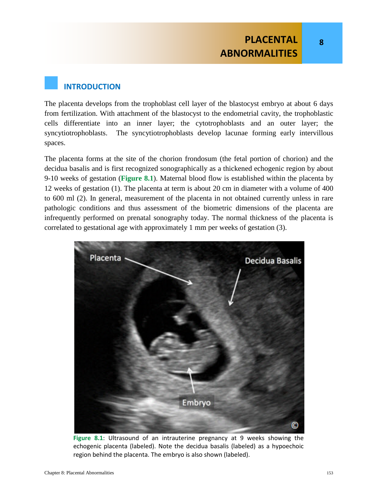**8**

### **INTRODUCTION**

The placenta develops from the trophoblast cell layer of the blastocyst embryo at about 6 days from fertilization. With attachment of the blastocyst to the endometrial cavity, the trophoblastic cells differentiate into an inner layer; the cytotrophoblasts and an outer layer; the syncytiotrophoblasts. The syncytiotrophoblasts develop lacunae forming early intervillous spaces.

The placenta forms at the site of the chorion frondosum (the fetal portion of chorion) and the decidua basalis and is first recognized sonographically as a thickened echogenic region by about 9-10 weeks of gestation (**Figure 8.1**). Maternal blood flow is established within the placenta by 12 weeks of gestation (1). The placenta at term is about 20 cm in diameter with a volume of 400 to 600 ml (2). In general, measurement of the placenta in not obtained currently unless in rare pathologic conditions and thus assessment of the biometric dimensions of the placenta are infrequently performed on prenatal sonography today. The normal thickness of the placenta is correlated to gestational age with approximately 1 mm per weeks of gestation (3).



**Figure 8.1**: Ultrasound of an intrauterine pregnancy at 9 weeks showing the echogenic placenta (labeled). Note the decidua basalis (labeled) as a hypoechoic region behind the placenta. The embryo is also shown (labeled).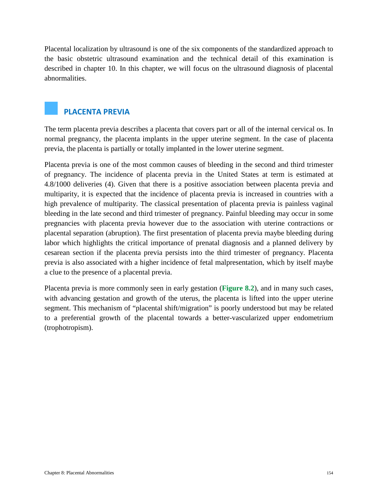Placental localization by ultrasound is one of the six components of the standardized approach to the basic obstetric ultrasound examination and the technical detail of this examination is described in chapter 10. In this chapter, we will focus on the ultrasound diagnosis of placental abnormalities.

### **PLACENTA PREVIA**

The term placenta previa describes a placenta that covers part or all of the internal cervical os. In normal pregnancy, the placenta implants in the upper uterine segment. In the case of placenta previa, the placenta is partially or totally implanted in the lower uterine segment.

Placenta previa is one of the most common causes of bleeding in the second and third trimester of pregnancy. The incidence of placenta previa in the United States at term is estimated at 4.8/1000 deliveries (4). Given that there is a positive association between placenta previa and multiparity, it is expected that the incidence of placenta previa is increased in countries with a high prevalence of multiparity. The classical presentation of placenta previa is painless vaginal bleeding in the late second and third trimester of pregnancy. Painful bleeding may occur in some pregnancies with placenta previa however due to the association with uterine contractions or placental separation (abruption). The first presentation of placenta previa maybe bleeding during labor which highlights the critical importance of prenatal diagnosis and a planned delivery by cesarean section if the placenta previa persists into the third trimester of pregnancy. Placenta previa is also associated with a higher incidence of fetal malpresentation, which by itself maybe a clue to the presence of a placental previa.

Placenta previa is more commonly seen in early gestation (**Figure 8.2**), and in many such cases, with advancing gestation and growth of the uterus, the placenta is lifted into the upper uterine segment. This mechanism of "placental shift/migration" is poorly understood but may be related to a preferential growth of the placental towards a better-vascularized upper endometrium (trophotropism).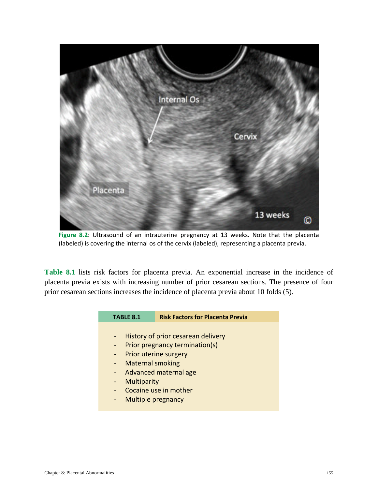

**Figure 8.2**: Ultrasound of an intrauterine pregnancy at 13 weeks. Note that the placenta (labeled) is covering the internal os of the cervix (labeled), representing a placenta previa.

**Table 8.1** lists risk factors for placenta previa. An exponential increase in the incidence of placenta previa exists with increasing number of prior cesarean sections. The presence of four prior cesarean sections increases the incidence of placenta previa about 10 folds (5).

| <b>TABLE 8.1</b>               | <b>Risk Factors for Placenta Previa</b> |  |
|--------------------------------|-----------------------------------------|--|
|                                |                                         |  |
|                                | History of prior cesarean delivery      |  |
| Prior pregnancy termination(s) |                                         |  |
| Prior uterine surgery          |                                         |  |
|                                | <b>Maternal smoking</b>                 |  |
|                                | Advanced maternal age                   |  |
| Multiparity                    |                                         |  |
|                                | Cocaine use in mother                   |  |
|                                | <b>Multiple pregnancy</b>               |  |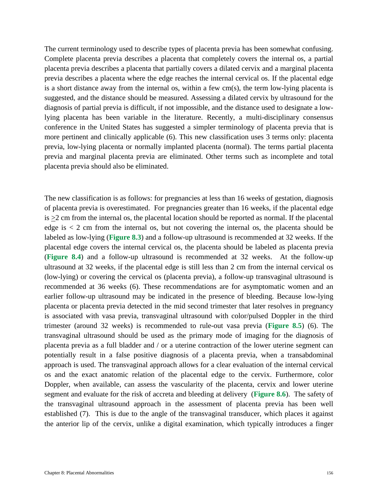The current terminology used to describe types of placenta previa has been somewhat confusing. Complete placenta previa describes a placenta that completely covers the internal os, a partial placenta previa describes a placenta that partially covers a dilated cervix and a marginal placenta previa describes a placenta where the edge reaches the internal cervical os. If the placental edge is a short distance away from the internal os, within a few cm(s), the term low-lying placenta is suggested, and the distance should be measured. Assessing a dilated cervix by ultrasound for the diagnosis of partial previa is difficult, if not impossible, and the distance used to designate a lowlying placenta has been variable in the literature. Recently, a multi-disciplinary consensus conference in the United States has suggested a simpler terminology of placenta previa that is more pertinent and clinically applicable (6). This new classification uses 3 terms only: placenta previa, low-lying placenta or normally implanted placenta (normal). The terms partial placenta previa and marginal placenta previa are eliminated. Other terms such as incomplete and total placenta previa should also be eliminated.

The new classification is as follows: for pregnancies at less than 16 weeks of gestation, diagnosis of placenta previa is overestimated. For pregnancies greater than 16 weeks, if the placental edge is >2 cm from the internal os, the placental location should be reported as normal. If the placental edge is  $\lt 2$  cm from the internal os, but not covering the internal os, the placenta should be labeled as low-lying (**Figure 8.3**) and a follow-up ultrasound is recommended at 32 weeks. If the placental edge covers the internal cervical os, the placenta should be labeled as placenta previa (**Figure 8.4**) and a follow-up ultrasound is recommended at 32 weeks. At the follow-up ultrasound at 32 weeks, if the placental edge is still less than 2 cm from the internal cervical os (low-lying) or covering the cervical os (placenta previa), a follow-up transvaginal ultrasound is recommended at 36 weeks (6). These recommendations are for asymptomatic women and an earlier follow-up ultrasound may be indicated in the presence of bleeding. Because low-lying placenta or placenta previa detected in the mid second trimester that later resolves in pregnancy is associated with vasa previa, transvaginal ultrasound with color/pulsed Doppler in the third trimester (around 32 weeks) is recommended to rule-out vasa previa (**Figure 8.5**) (6). The transvaginal ultrasound should be used as the primary mode of imaging for the diagnosis of placenta previa as a full bladder and / or a uterine contraction of the lower uterine segment can potentially result in a false positive diagnosis of a placenta previa, when a transabdominal approach is used. The transvaginal approach allows for a clear evaluation of the internal cervical os and the exact anatomic relation of the placental edge to the cervix. Furthermore, color Doppler, when available, can assess the vascularity of the placenta, cervix and lower uterine segment and evaluate for the risk of accreta and bleeding at delivery (**Figure 8.6**). The safety of the transvaginal ultrasound approach in the assessment of placenta previa has been well established (7). This is due to the angle of the transvaginal transducer, which places it against the anterior lip of the cervix, unlike a digital examination, which typically introduces a finger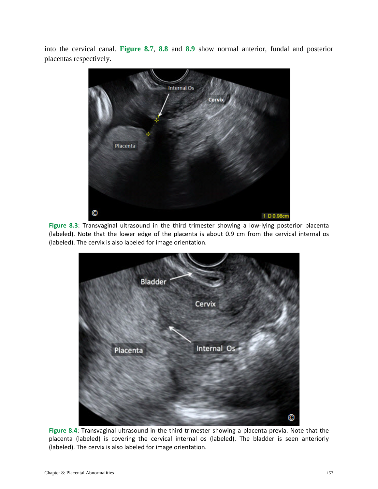into the cervical canal. **Figure 8.7**, **8.8** and **8.9** show normal anterior, fundal and posterior placentas respectively.



**Figure 8.3**: Transvaginal ultrasound in the third trimester showing a low-lying posterior placenta (labeled). Note that the lower edge of the placenta is about 0.9 cm from the cervical internal os (labeled). The cervix is also labeled for image orientation.



**Figure 8.4**: Transvaginal ultrasound in the third trimester showing a placenta previa. Note that the placenta (labeled) is covering the cervical internal os (labeled). The bladder is seen anteriorly (labeled). The cervix is also labeled for image orientation.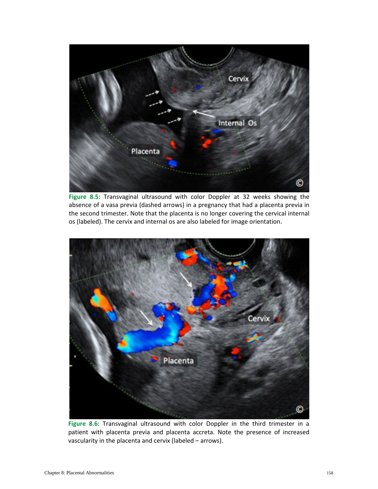

**Figure 8.5**: Transvaginal ultrasound with color Doppler at 32 weeks showing the absence of a vasa previa (dashed arrows) in a pregnancy that had a placenta previa in the second trimester. Note that the placenta is no longer covering the cervical internal os (labeled). The cervix and internal os are also labeled for image orientation.



**Figure 8.6**: Transvaginal ultrasound with color Doppler in the third trimester in a patient with placenta previa and placenta accreta. Note the presence of increased vascularity in the placenta and cervix (labeled – arrows).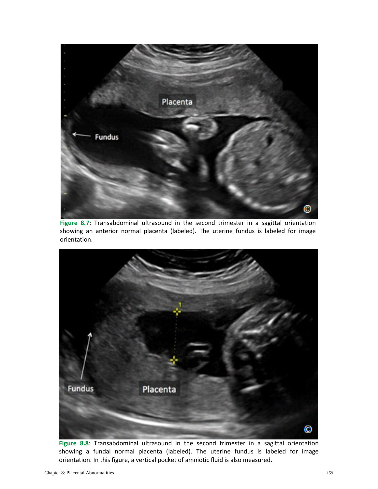

Figure 8.7: Transabdominal ultrasound in the second trimester in a sagittal orientation showing an anterior normal placenta (labeled). The uterine fundus is labeled for image orientation.



Figure 8.8: Transabdominal ultrasound in the second trimester in a sagittal orientation showing a fundal normal placenta (labeled). The uterine fundus is labeled for image orientation. In this figure, a vertical pocket of amniotic fluid is also measured.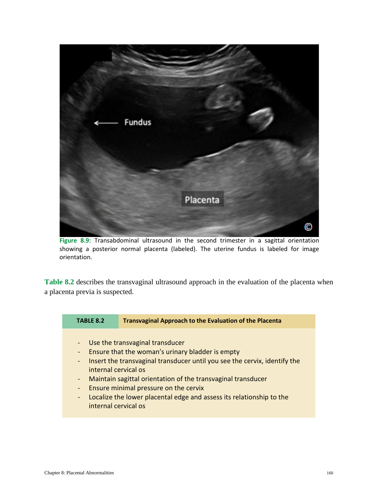

Figure 8.9: Transabdominal ultrasound in the second trimester in a sagittal orientation showing a posterior normal placenta (labeled). The uterine fundus is labeled for image orientation.

**Table 8.2** describes the transvaginal ultrasound approach in the evaluation of the placenta when a placenta previa is suspected.

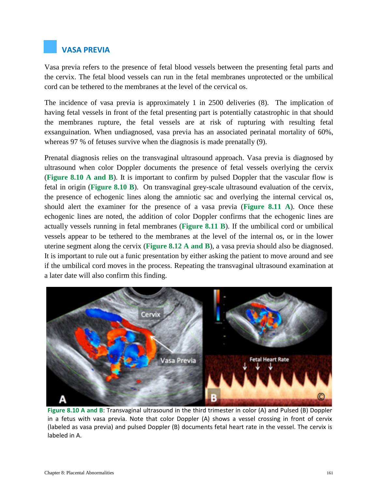## **VASA PREVIA**

Vasa previa refers to the presence of fetal blood vessels between the presenting fetal parts and the cervix. The fetal blood vessels can run in the fetal membranes unprotected or the umbilical cord can be tethered to the membranes at the level of the cervical os.

The incidence of vasa previa is approximately 1 in 2500 deliveries (8). The implication of having fetal vessels in front of the fetal presenting part is potentially catastrophic in that should the membranes rupture, the fetal vessels are at risk of rupturing with resulting fetal exsanguination. When undiagnosed, vasa previa has an associated perinatal mortality of 60%, whereas 97 % of fetuses survive when the diagnosis is made prenatally (9).

Prenatal diagnosis relies on the transvaginal ultrasound approach. Vasa previa is diagnosed by ultrasound when color Doppler documents the presence of fetal vessels overlying the cervix (**Figure 8.10 A and B**). It is important to confirm by pulsed Doppler that the vascular flow is fetal in origin (**Figure 8.10 B**). On transvaginal grey-scale ultrasound evaluation of the cervix, the presence of echogenic lines along the amniotic sac and overlying the internal cervical os, should alert the examiner for the presence of a vasa previa (**Figure 8.11 A**). Once these echogenic lines are noted, the addition of color Doppler confirms that the echogenic lines are actually vessels running in fetal membranes (**Figure 8.11 B**). If the umbilical cord or umbilical vessels appear to be tethered to the membranes at the level of the internal os, or in the lower uterine segment along the cervix (**Figure 8.12 A and B**), a vasa previa should also be diagnosed. It is important to rule out a funic presentation by either asking the patient to move around and see if the umbilical cord moves in the process. Repeating the transvaginal ultrasound examination at a later date will also confirm this finding.



**Figure 8.10 A and B**: Transvaginal ultrasound in the third trimester in color (A) and Pulsed (B) Doppler in a fetus with vasa previa. Note that color Doppler (A) shows a vessel crossing in front of cervix (labeled as vasa previa) and pulsed Doppler (B) documents fetal heart rate in the vessel. The cervix is labeled in A.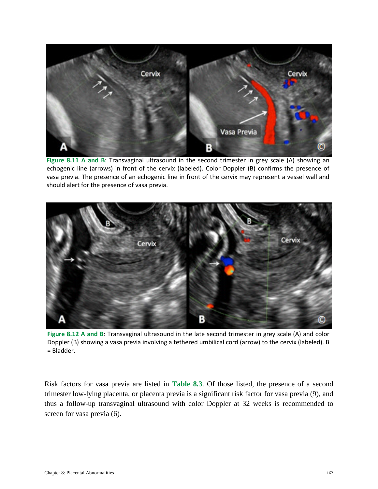

**Figure 8.11 A and B**: Transvaginal ultrasound in the second trimester in grey scale (A) showing an echogenic line (arrows) in front of the cervix (labeled). Color Doppler (B) confirms the presence of vasa previa. The presence of an echogenic line in front of the cervix may represent a vessel wall and should alert for the presence of vasa previa.



**Figure 8.12 A and B**: Transvaginal ultrasound in the late second trimester in grey scale (A) and color Doppler (B) showing a vasa previa involving a tethered umbilical cord (arrow) to the cervix (labeled). B = Bladder.

Risk factors for vasa previa are listed in **Table 8.3**. Of those listed, the presence of a second trimester low-lying placenta, or placenta previa is a significant risk factor for vasa previa (9), and thus a follow-up transvaginal ultrasound with color Doppler at 32 weeks is recommended to screen for vasa previa (6).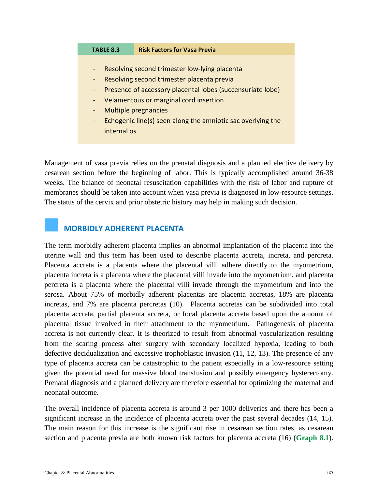#### **TABLE 8.3 Risk Factors for Vasa Previa**

- Resolving second trimester low-lying placenta
- Resolving second trimester placenta previa
- Presence of accessory placental lobes (succensuriate lobe)
- Velamentous or marginal cord insertion
- Multiple pregnancies
- Echogenic line(s) seen along the amniotic sac overlying the internal os

Management of vasa previa relies on the prenatal diagnosis and a planned elective delivery by cesarean section before the beginning of labor. This is typically accomplished around 36-38 weeks. The balance of neonatal resuscitation capabilities with the risk of labor and rupture of membranes should be taken into account when vasa previa is diagnosed in low-resource settings. The status of the cervix and prior obstetric history may help in making such decision.

### **MORBIDLY ADHERENT PLACENTA**

The term morbidly adherent placenta implies an abnormal implantation of the placenta into the uterine wall and this term has been used to describe placenta accreta, increta, and percreta. Placenta accreta is a placenta where the placental villi adhere directly to the myometrium, placenta increta is a placenta where the placental villi invade into the myometrium, and placenta percreta is a placenta where the placental villi invade through the myometrium and into the serosa. About 75% of morbidly adherent placentas are placenta accretas, 18% are placenta incretas, and 7% are placenta percretas (10). Placenta accretas can be subdivided into total placenta accreta, partial placenta accreta, or focal placenta accreta based upon the amount of placental tissue involved in their attachment to the myometrium. Pathogenesis of placenta accreta is not currently clear. It is theorized to result from abnormal vascularization resulting from the scaring process after surgery with secondary localized hypoxia, leading to both defective decidualization and excessive trophoblastic invasion (11, 12, 13). The presence of any type of placenta accreta can be catastrophic to the patient especially in a low-resource setting given the potential need for massive blood transfusion and possibly emergency hysterectomy. Prenatal diagnosis and a planned delivery are therefore essential for optimizing the maternal and neonatal outcome.

The overall incidence of placenta accreta is around 3 per 1000 deliveries and there has been a significant increase in the incidence of placenta accreta over the past several decades (14, 15). The main reason for this increase is the significant rise in cesarean section rates, as cesarean section and placenta previa are both known risk factors for placenta accreta (16) (**Graph 8.1**).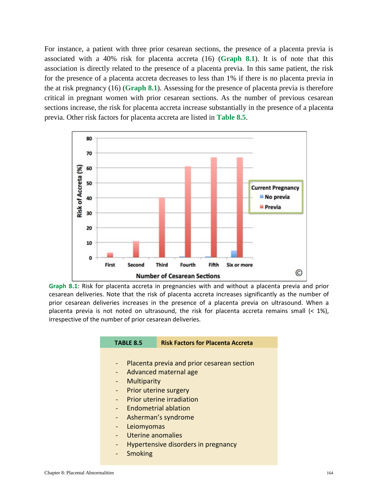For instance, a patient with three prior cesarean sections, the presence of a placenta previa is associated with a 40% risk for placenta accreta (16) (**Graph 8.1**). It is of note that this association is directly related to the presence of a placenta previa. In this same patient, the risk for the presence of a placenta accreta decreases to less than 1% if there is no placenta previa in the at risk pregnancy (16) (**Graph 8.1**). Assessing for the presence of placenta previa is therefore critical in pregnant women with prior cesarean sections. As the number of previous cesarean sections increase, the risk for placenta accreta increase substantially in the presence of a placenta previa. Other risk factors for placenta accreta are listed in **Table 8.5**.



**Graph 8.1**: Risk for placenta accreta in pregnancies with and without a placenta previa and prior cesarean deliveries. Note that the risk of placenta accreta increases significantly as the number of prior cesarean deliveries increases in the presence of a placenta previa on ultrasound. When a placenta previa is not noted on ultrasound, the risk for placenta accreta remains small  $\left($  < 1%), irrespective of the number of prior cesarean deliveries.

| <b>TABLE 8.5</b>                           | <b>Risk Factors for Placenta Accreta</b> |  |
|--------------------------------------------|------------------------------------------|--|
|                                            |                                          |  |
| Placenta previa and prior cesarean section |                                          |  |
| Advanced maternal age                      |                                          |  |
| ÷                                          | Multiparity                              |  |
|                                            | Prior uterine surgery                    |  |
|                                            | Prior uterine irradiation                |  |
|                                            | <b>Endometrial ablation</b>              |  |
| ÷                                          | Asherman's syndrome                      |  |
| $\overline{\phantom{0}}$                   | Leiomyomas                               |  |
|                                            | Uterine anomalies                        |  |
| ÷                                          | Hypertensive disorders in pregnancy      |  |
| <b>Smoking</b>                             |                                          |  |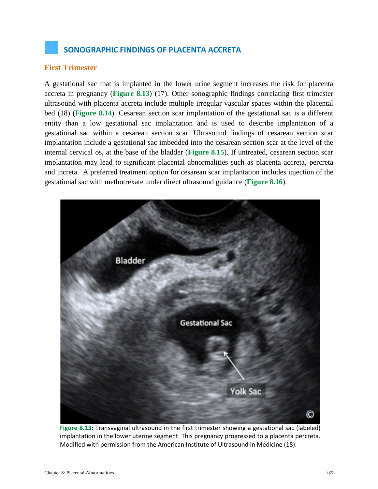# **SONOGRAPHIC FINDINGS OF PLACENTA ACCRETA**

#### **First Trimester**

A gestational sac that is implanted in the lower urine segment increases the risk for placenta accreta in pregnancy (**Figure 8.13**) (17). Other sonographic findings correlating first trimester ultrasound with placenta accreta include multiple irregular vascular spaces within the placental bed (18) (**Figure 8.14**). Cesarean section scar implantation of the gestational sac is a different entity than a low gestational sac implantation and is used to describe implantation of a gestational sac within a cesarean section scar. Ultrasound findings of cesarean section scar implantation include a gestational sac imbedded into the cesarean section scar at the level of the internal cervical os, at the base of the bladder (**Figure 8.15**). If untreated, cesarean section scar implantation may lead to significant placental abnormalities such as placenta accreta, percreta and increta. A preferred treatment option for cesarean scar implantation includes injection of the gestational sac with methotrexate under direct ultrasound guidance (**Figure 8.16**).



**Figure 8.13**: Transvaginal ultrasound in the first trimester showing a gestational sac (labeled) implantation in the lower uterine segment. This pregnancy progressed to a placenta percreta. Modified with permission from the American Institute of Ultrasound in Medicine (18).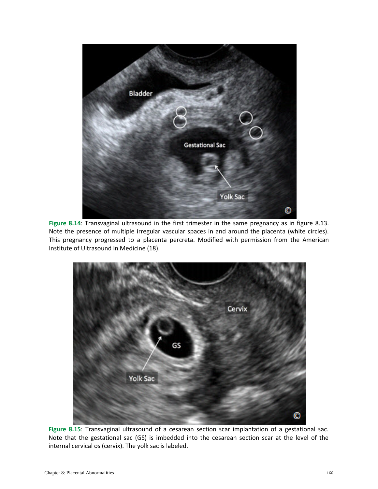

**Figure 8.14**: Transvaginal ultrasound in the first trimester in the same pregnancy as in figure 8.13. Note the presence of multiple irregular vascular spaces in and around the placenta (white circles). This pregnancy progressed to a placenta percreta. Modified with permission from the American Institute of Ultrasound in Medicine (18).



**Figure 8.15**: Transvaginal ultrasound of a cesarean section scar implantation of a gestational sac. Note that the gestational sac (GS) is imbedded into the cesarean section scar at the level of the internal cervical os (cervix). The yolk sac is labeled.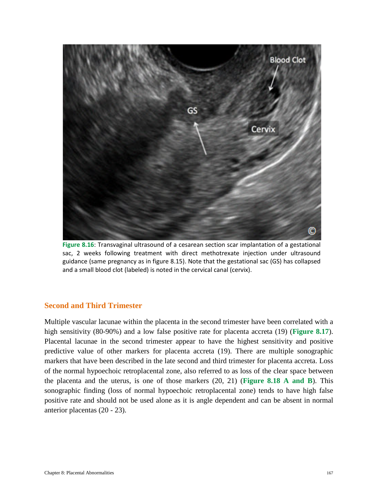

**Figure 8.16**: Transvaginal ultrasound of a cesarean section scar implantation of a gestational sac, 2 weeks following treatment with direct methotrexate injection under ultrasound guidance (same pregnancy as in figure 8.15). Note that the gestational sac (GS) has collapsed and a small blood clot (labeled) is noted in the cervical canal (cervix).

### **Second and Third Trimester**

Multiple vascular lacunae within the placenta in the second trimester have been correlated with a high sensitivity (80-90%) and a low false positive rate for placenta accreta (19) (**Figure 8.17**). Placental lacunae in the second trimester appear to have the highest sensitivity and positive predictive value of other markers for placenta accreta (19). There are multiple sonographic markers that have been described in the late second and third trimester for placenta accreta. Loss of the normal hypoechoic retroplacental zone, also referred to as loss of the clear space between the placenta and the uterus, is one of those markers (20, 21) (**Figure 8.18 A and B**). This sonographic finding (loss of normal hypoechoic retroplacental zone) tends to have high false positive rate and should not be used alone as it is angle dependent and can be absent in normal anterior placentas (20 - 23).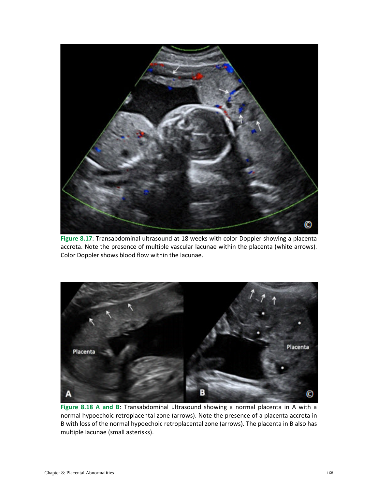

**Figure 8.17**: Transabdominal ultrasound at 18 weeks with color Doppler showing a placenta accreta. Note the presence of multiple vascular lacunae within the placenta (white arrows). Color Doppler shows blood flow within the lacunae.



**Figure 8.18 A and B**: Transabdominal ultrasound showing a normal placenta in A with a normal hypoechoic retroplacental zone (arrows). Note the presence of a placenta accreta in B with loss of the normal hypoechoic retroplacental zone (arrows). The placenta in B also has multiple lacunae (small asterisks).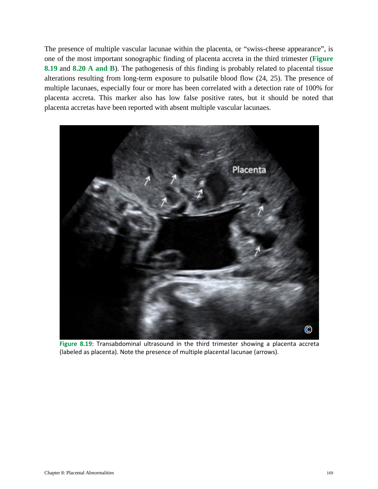The presence of multiple vascular lacunae within the placenta, or "swiss-cheese appearance", is one of the most important sonographic finding of placenta accreta in the third trimester (**Figure 8.19** and **8.20 A and B**). The pathogenesis of this finding is probably related to placental tissue alterations resulting from long-term exposure to pulsatile blood flow (24, 25). The presence of multiple lacunaes, especially four or more has been correlated with a detection rate of 100% for placenta accreta. This marker also has low false positive rates, but it should be noted that placenta accretas have been reported with absent multiple vascular lacunaes.



**Figure 8.19**: Transabdominal ultrasound in the third trimester showing a placenta accreta (labeled as placenta). Note the presence of multiple placental lacunae (arrows).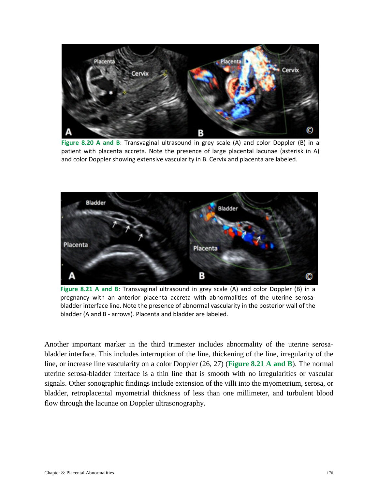

**Figure 8.20 A and B**: Transvaginal ultrasound in grey scale (A) and color Doppler (B) in a patient with placenta accreta. Note the presence of large placental lacunae (asterisk in A) and color Doppler showing extensive vascularity in B. Cervix and placenta are labeled.



**Figure 8.21 A and B**: Transvaginal ultrasound in grey scale (A) and color Doppler (B) in a pregnancy with an anterior placenta accreta with abnormalities of the uterine serosabladder interface line. Note the presence of abnormal vascularity in the posterior wall of the bladder (A and B - arrows). Placenta and bladder are labeled.

Another important marker in the third trimester includes abnormality of the uterine serosabladder interface. This includes interruption of the line, thickening of the line, irregularity of the line, or increase line vascularity on a color Doppler (26, 27) (**Figure 8.21 A and B**). The normal uterine serosa-bladder interface is a thin line that is smooth with no irregularities or vascular signals. Other sonographic findings include extension of the villi into the myometrium, serosa, or bladder, retroplacental myometrial thickness of less than one millimeter, and turbulent blood flow through the lacunae on Doppler ultrasonography.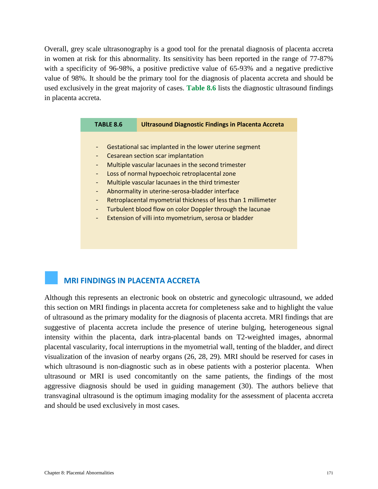Overall, grey scale ultrasonography is a good tool for the prenatal diagnosis of placenta accreta in women at risk for this abnormality. Its sensitivity has been reported in the range of 77-87% with a specificity of 96-98%, a positive predictive value of 65-93% and a negative predictive value of 98%. It should be the primary tool for the diagnosis of placenta accreta and should be used exclusively in the great majority of cases. **Table 8.6** lists the diagnostic ultrasound findings in placenta accreta.

| <b>TABLE 8.6</b>         | <b>Ultrasound Diagnostic Findings in Placenta Accreta</b>     |  |  |
|--------------------------|---------------------------------------------------------------|--|--|
|                          |                                                               |  |  |
| $\equiv$                 | Gestational sac implanted in the lower uterine segment        |  |  |
| -                        | Cesarean section scar implantation                            |  |  |
| -                        | Multiple vascular lacunaes in the second trimester            |  |  |
|                          | Loss of normal hypoechoic retroplacental zone                 |  |  |
| $\blacksquare$           | Multiple vascular lacunaes in the third trimester             |  |  |
| ◆                        | Abnormality in uterine-serosa-bladder interface               |  |  |
| $\blacksquare$           | Retroplacental myometrial thickness of less than 1 millimeter |  |  |
| -                        | Turbulent blood flow on color Doppler through the lacunae     |  |  |
| $\overline{\phantom{a}}$ | Extension of villi into myometrium, serosa or bladder         |  |  |

## **MRI FINDINGS IN PLACENTA ACCRETA**

Although this represents an electronic book on obstetric and gynecologic ultrasound, we added this section on MRI findings in placenta accreta for completeness sake and to highlight the value of ultrasound as the primary modality for the diagnosis of placenta accreta. MRI findings that are suggestive of placenta accreta include the presence of uterine bulging, heterogeneous signal intensity within the placenta, dark intra-placental bands on T2-weighted images, abnormal placental vascularity, focal interruptions in the myometrial wall, tenting of the bladder, and direct visualization of the invasion of nearby organs (26, 28, 29). MRI should be reserved for cases in which ultrasound is non-diagnostic such as in obese patients with a posterior placenta. When ultrasound or MRI is used concomitantly on the same patients, the findings of the most aggressive diagnosis should be used in guiding management (30). The authors believe that transvaginal ultrasound is the optimum imaging modality for the assessment of placenta accreta and should be used exclusively in most cases.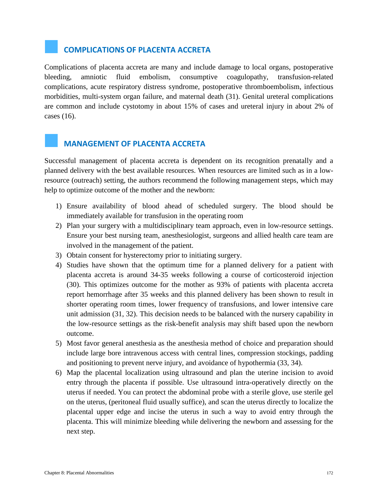# **COMPLICATIONS OF PLACENTA ACCRETA**

Complications of placenta accreta are many and include damage to local organs, postoperative bleeding, amniotic fluid embolism, consumptive coagulopathy, transfusion-related complications, acute respiratory distress syndrome, postoperative thromboembolism, infectious morbidities, multi-system organ failure, and maternal death (31). Genital ureteral complications are common and include cystotomy in about 15% of cases and ureteral injury in about 2% of cases (16).

## **MANAGEMENT OF PLACENTA ACCRETA**

Successful management of placenta accreta is dependent on its recognition prenatally and a planned delivery with the best available resources. When resources are limited such as in a lowresource (outreach) setting, the authors recommend the following management steps, which may help to optimize outcome of the mother and the newborn:

- 1) Ensure availability of blood ahead of scheduled surgery. The blood should be immediately available for transfusion in the operating room
- 2) Plan your surgery with a multidisciplinary team approach, even in low-resource settings. Ensure your best nursing team, anesthesiologist, surgeons and allied health care team are involved in the management of the patient.
- 3) Obtain consent for hysterectomy prior to initiating surgery.
- 4) Studies have shown that the optimum time for a planned delivery for a patient with placenta accreta is around 34-35 weeks following a course of corticosteroid injection (30). This optimizes outcome for the mother as 93% of patients with placenta accreta report hemorrhage after 35 weeks and this planned delivery has been shown to result in shorter operating room times, lower frequency of transfusions, and lower intensive care unit admission (31, 32). This decision needs to be balanced with the nursery capability in the low-resource settings as the risk-benefit analysis may shift based upon the newborn outcome.
- 5) Most favor general anesthesia as the anesthesia method of choice and preparation should include large bore intravenous access with central lines, compression stockings, padding and positioning to prevent nerve injury, and avoidance of hypothermia (33, 34).
- 6) Map the placental localization using ultrasound and plan the uterine incision to avoid entry through the placenta if possible. Use ultrasound intra-operatively directly on the uterus if needed. You can protect the abdominal probe with a sterile glove, use sterile gel on the uterus, (peritoneal fluid usually suffice), and scan the uterus directly to localize the placental upper edge and incise the uterus in such a way to avoid entry through the placenta. This will minimize bleeding while delivering the newborn and assessing for the next step.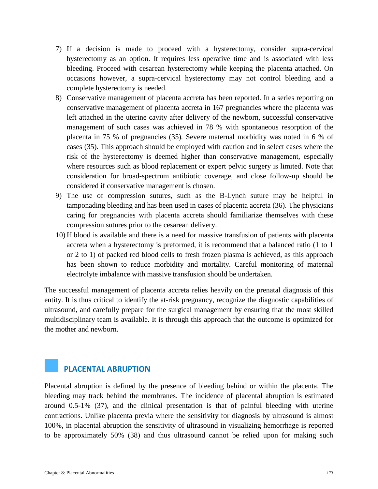- 7) If a decision is made to proceed with a hysterectomy, consider supra-cervical hysterectomy as an option. It requires less operative time and is associated with less bleeding. Proceed with cesarean hysterectomy while keeping the placenta attached. On occasions however, a supra-cervical hysterectomy may not control bleeding and a complete hysterectomy is needed.
- 8) Conservative management of placenta accreta has been reported. In a series reporting on conservative management of placenta accreta in 167 pregnancies where the placenta was left attached in the uterine cavity after delivery of the newborn, successful conservative management of such cases was achieved in 78 % with spontaneous resorption of the placenta in 75 % of pregnancies (35)*.* Severe maternal morbidity was noted in 6 % of cases (35). This approach should be employed with caution and in select cases where the risk of the hysterectomy is deemed higher than conservative management, especially where resources such as blood replacement or expert pelvic surgery is limited. Note that consideration for broad-spectrum antibiotic coverage, and close follow-up should be considered if conservative management is chosen.
- 9) The use of compression sutures, such as the B-Lynch suture may be helpful in tamponading bleeding and has been used in cases of placenta accreta (36). The physicians caring for pregnancies with placenta accreta should familiarize themselves with these compression sutures prior to the cesarean delivery.
- 10) If blood is available and there is a need for massive transfusion of patients with placenta accreta when a hysterectomy is preformed, it is recommend that a balanced ratio (1 to 1 or 2 to 1) of packed red blood cells to fresh frozen plasma is achieved, as this approach has been shown to reduce morbidity and mortality. Careful monitoring of maternal electrolyte imbalance with massive transfusion should be undertaken.

The successful management of placenta accreta relies heavily on the prenatal diagnosis of this entity. It is thus critical to identify the at-risk pregnancy, recognize the diagnostic capabilities of ultrasound, and carefully prepare for the surgical management by ensuring that the most skilled multidisciplinary team is available. It is through this approach that the outcome is optimized for the mother and newborn.

## **PLACENTAL ABRUPTION**

Placental abruption is defined by the presence of bleeding behind or within the placenta. The bleeding may track behind the membranes. The incidence of placental abruption is estimated around 0.5-1% (37), and the clinical presentation is that of painful bleeding with uterine contractions. Unlike placenta previa where the sensitivity for diagnosis by ultrasound is almost 100%, in placental abruption the sensitivity of ultrasound in visualizing hemorrhage is reported to be approximately 50% (38) and thus ultrasound cannot be relied upon for making such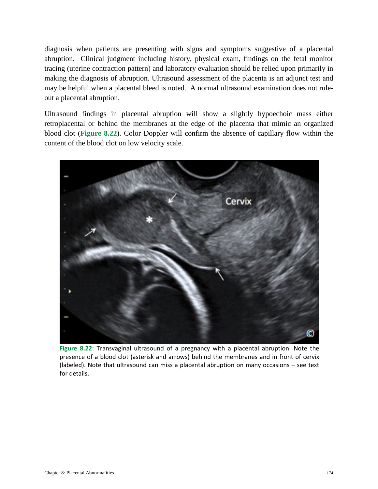diagnosis when patients are presenting with signs and symptoms suggestive of a placental abruption. Clinical judgment including history, physical exam, findings on the fetal monitor tracing (uterine contraction pattern) and laboratory evaluation should be relied upon primarily in making the diagnosis of abruption. Ultrasound assessment of the placenta is an adjunct test and may be helpful when a placental bleed is noted. A normal ultrasound examination does not ruleout a placental abruption.

Ultrasound findings in placental abruption will show a slightly hypoechoic mass either retroplacental or behind the membranes at the edge of the placenta that mimic an organized blood clot (**Figure 8.22**). Color Doppler will confirm the absence of capillary flow within the content of the blood clot on low velocity scale.



**Figure 8.22**: Transvaginal ultrasound of a pregnancy with a placental abruption. Note the presence of a blood clot (asterisk and arrows) behind the membranes and in front of cervix (labeled). Note that ultrasound can miss a placental abruption on many occasions – see text for details.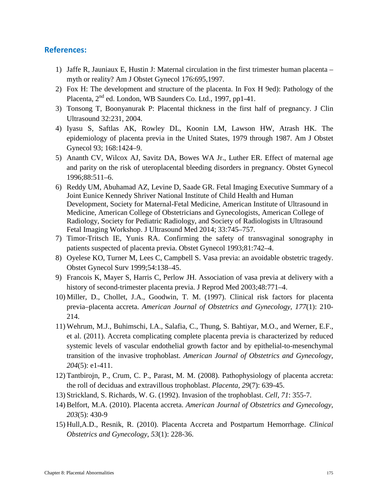#### **References:**

- 1) Jaffe R, Jauniaux E, Hustin J: Maternal circulation in the first trimester human placenta myth or reality? Am J Obstet Gynecol 176:695,1997.
- 2) Fox H: The development and structure of the placenta. In Fox H 9ed): Pathology of the Placenta,  $2<sup>nd</sup>$  ed. London, WB Saunders Co. Ltd., 1997, pp1-41.
- 3) Tonsong T, Boonyanurak P: Placental thickness in the first half of pregnancy. J Clin Ultrasound 32:231, 2004.
- 4) Iyasu S, Saftlas AK, Rowley DL, Koonin LM, Lawson HW, Atrash HK. The epidemiology of placenta previa in the United States, 1979 through 1987. Am J Obstet Gynecol 93; 168:1424–9.
- 5) Ananth CV, Wilcox AJ, Savitz DA, Bowes WA Jr., Luther ER. Effect of maternal age and parity on the risk of uteroplacental bleeding disorders in pregnancy. Obstet Gynecol 1996;88:511–6.
- 6) Reddy UM, Abuhamad AZ, Levine D, Saade GR. Fetal Imaging Executive Summary of a Joint Eunice Kennedy Shriver National Institute of Child Health and Human Development, Society for Maternal-Fetal Medicine, American Institute of Ultrasound in Medicine, American College of Obstetricians and Gynecologists, American College of Radiology, Society for Pediatric Radiology, and Society of Radiologists in Ultrasound Fetal Imaging Workshop. J Ultrasound Med 2014; 33:745–757.
- 7) Timor-Tritsch IE, Yunis RA. Confirming the safety of transvaginal sonography in patients suspected of placenta previa. Obstet Gynecol 1993;81:742–4.
- 8) Oyelese KO, Turner M, Lees C, Campbell S. Vasa previa: an avoidable obstetric tragedy. Obstet Gynecol Surv 1999;54:138–45.
- 9) Francois K, Mayer S, Harris C, Perlow JH. Association of vasa previa at delivery with a history of second-trimester placenta previa. J Reprod Med 2003;48:771–4.
- 10) Miller, D., Chollet, J.A., Goodwin, T. M. (1997). Clinical risk factors for placenta previa–placenta accreta. *American Journal of Obstetrics and Gynecology, 177*(1): 210- 214.
- 11) Wehrum, M.J., Buhimschi, I.A., Salafia, C., Thung, S. Bahtiyar, M.O., and Werner, E.F., et al. (2011). Accreta complicating complete placenta previa is characterized by reduced systemic levels of vascular endothelial growth factor and by epithelial-to-mesenchymal transition of the invasive trophoblast. *American Journal of Obstetrics and Gynecology, 204*(5): e1-411.
- 12) Tantbirojn, P., Crum, C. P., Parast, M. M. (2008). Pathophysiology of placenta accreta: the roll of deciduas and extravillous trophoblast. *Placenta, 29*(7): 639-45.
- 13) Strickland, S. Richards, W. G. (1992). Invasion of the trophoblast. *Cell, 71*: 355-7.
- 14) Belfort, M.A. (2010). Placenta accreta. *American Journal of Obstetrics and Gynecology, 203*(5): 430-9
- 15) Hull,A.D., Resnik, R. (2010). Placenta Accreta and Postpartum Hemorrhage. *Clinical Obstetrics and Gynecology, 53*(1): 228-36.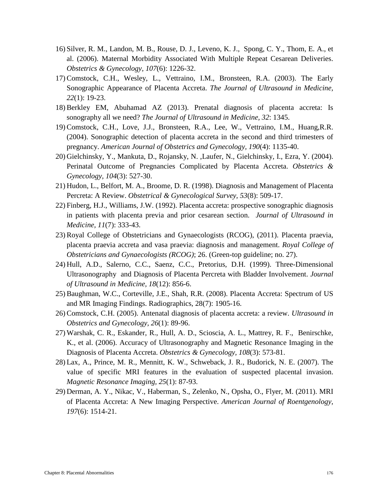- 16) Silver, R. M., Landon, M. B., Rouse, D. J., Leveno, K. J., Spong, C. Y., Thom, E. A., et al. (2006). Maternal Morbidity Associated With Multiple Repeat Cesarean Deliveries. *Obstetrics & Gynecology, 107*(6): 1226-32.
- 17) Comstock, C.H., Wesley, L., Vettraino, I.M., Bronsteen, R.A. (2003). The Early Sonographic Appearance of Placenta Accreta. *The Journal of Ultrasound in Medicine, 22*(1): 19-23.
- 18) Berkley EM, Abuhamad AZ (2013). Prenatal diagnosis of placenta accreta: Is sonography all we need? *The Journal of Ultrasound in Medicine, 32*: 1345.
- 19) Comstock, C.H., Love, J.J., Bronsteen, R.A., Lee, W., Vettraino, I.M., Huang,R.R. (2004). Sonographic detection of placenta accreta in the second and third trimesters of pregnancy. *American Journal of Obstetrics and Gynecology, 190*(4): 1135-40.
- 20) Gielchinsky, Y., Mankuta, D., Rojansky, N. ,Laufer, N., Gielchinsky, I., Ezra, Y. (2004). Perinatal Outcome of Pregnancies Complicated by Placenta Accreta. *Obstetrics & Gynecology, 104*(3): 527-30.
- 21) Hudon, L., Belfort, M. A., Broome, D. R. (1998). Diagnosis and Management of Placenta Percreta: A Review. *Obstetrical & Gynecological Survey, 53*(8): 509-17.
- 22) Finberg, H.J., Williams, J.W. (1992). Placenta accreta: prospective sonographic diagnosis in patients with placenta previa and prior cesarean section. *Journal of Ultrasound in Medicine, 11*(7): 333-43.
- 23) Royal College of Obstetricians and Gynaecologists (RCOG), (2011). Placenta praevia, placenta praevia accreta and vasa praevia: diagnosis and management. *Royal College of Obstetricians and Gynaecologists (RCOG)*; 26. (Green-top guideline; no. 27).
- 24) Hull, A.D., Salerno, C.C., Saenz, C.C., Pretorius, D.H. (1999). Three-Dimensional Ultrasonography and Diagnosis of Placenta Percreta with Bladder Involvement. *Journal of Ultrasound in Medicine, 18*(12): 856-6.
- 25) Baughman, W.C., Corteville, J.E., Shah, R.R. (2008). Placenta Accreta: Spectrum of US and MR Imaging Findings. Radiographics, 28(7): 1905-16.
- 26) Comstock, C.H. (2005). Antenatal diagnosis of placenta accreta: a review. *Ultrasound in Obstetrics and Gynecology, 26*(1): 89-96.
- 27) Warshak, C. R., Eskander, R., Hull, A. D., Scioscia, A. L., Mattrey, R. F., Benirschke, K., et al. (2006). Accuracy of Ultrasonography and Magnetic Resonance Imaging in the Diagnosis of Placenta Accreta. *Obstetrics & Gynecology, 108*(3): 573-81.
- 28) Lax, A., Prince, M. R., Mennitt, K. W., Schweback, J. R., Budorick, N. E. (2007). The value of specific MRI features in the evaluation of suspected placental invasion. *Magnetic Resonance Imaging, 25*(1): 87-93.
- 29) Derman, A. Y., Nikac, V., Haberman, S., Zelenko, N., Opsha, O., Flyer, M. (2011). MRI of Placenta Accreta: A New Imaging Perspective. *American Journal of Roentgenology, 197*(6): 1514-21.